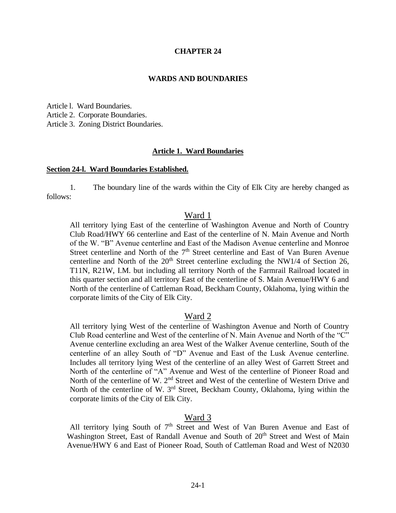### **CHAPTER 24**

#### **WARDS AND BOUNDARIES**

Article l. Ward Boundaries. Article 2. Corporate Boundaries.

Article 3. Zoning District Boundaries.

#### **Article 1. Ward Boundaries**

#### **Section 24-l. Ward Boundaries Established.**

1. The boundary line of the wards within the City of Elk City are hereby changed as follows:

## Ward 1

All territory lying East of the centerline of Washington Avenue and North of Country Club Road/HWY 66 centerline and East of the centerline of N. Main Avenue and North of the W. "B" Avenue centerline and East of the Madison Avenue centerline and Monroe Street centerline and North of the 7<sup>th</sup> Street centerline and East of Van Buren Avenue centerline and North of the  $20<sup>th</sup>$  Street centerline excluding the NW1/4 of Section 26, T11N, R21W, I.M. but including all territory North of the Farmrail Railroad located in this quarter section and all territory East of the centerline of S. Main Avenue/HWY 6 and North of the centerline of Cattleman Road, Beckham County, Oklahoma, lying within the corporate limits of the City of Elk City.

### Ward 2

All territory lying West of the centerline of Washington Avenue and North of Country Club Road centerline and West of the centerline of N. Main Avenue and North of the "C" Avenue centerline excluding an area West of the Walker Avenue centerline, South of the centerline of an alley South of "D" Avenue and East of the Lusk Avenue centerline. Includes all territory lying West of the centerline of an alley West of Garrett Street and North of the centerline of "A" Avenue and West of the centerline of Pioneer Road and North of the centerline of W. 2<sup>nd</sup> Street and West of the centerline of Western Drive and North of the centerline of W. 3<sup>rd</sup> Street, Beckham County, Oklahoma, lying within the corporate limits of the City of Elk City.

# Ward 3

All territory lying South of  $7<sup>th</sup>$  Street and West of Van Buren Avenue and East of Washington Street, East of Randall Avenue and South of 20<sup>th</sup> Street and West of Main Avenue/HWY 6 and East of Pioneer Road, South of Cattleman Road and West of N2030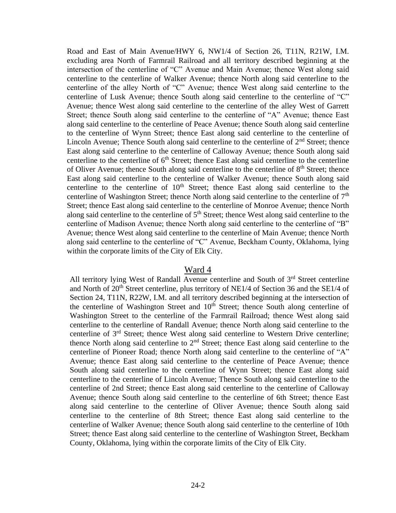Road and East of Main Avenue/HWY 6, NW1/4 of Section 26, T11N, R21W, I.M. excluding area North of Farmrail Railroad and all territory described beginning at the intersection of the centerline of "C" Avenue and Main Avenue; thence West along said centerline to the centerline of Walker Avenue; thence North along said centerline to the centerline of the alley North of "C" Avenue; thence West along said centerline to the centerline of Lusk Avenue; thence South along said centerline to the centerline of "C" Avenue; thence West along said centerline to the centerline of the alley West of Garrett Street; thence South along said centerline to the centerline of "A" Avenue; thence East along said centerline to the centerline of Peace Avenue; thence South along said centerline to the centerline of Wynn Street; thence East along said centerline to the centerline of Lincoln Avenue; Thence South along said centerline to the centerline of  $2<sup>nd</sup>$  Street; thence East along said centerline to the centerline of Calloway Avenue; thence South along said centerline to the centerline of  $6<sup>th</sup>$  Street; thence East along said centerline to the centerline of Oliver Avenue; thence South along said centerline to the centerline of  $8<sup>th</sup>$  Street; thence East along said centerline to the centerline of Walker Avenue; thence South along said centerline to the centerline of  $10<sup>th</sup>$  Street; thence East along said centerline to the centerline of Washington Street; thence North along said centerline to the centerline of  $7<sup>th</sup>$ Street; thence East along said centerline to the centerline of Monroe Avenue; thence North along said centerline to the centerline of  $5<sup>th</sup>$  Street; thence West along said centerline to the centerline of Madison Avenue; thence North along said centerline to the centerline of "B" Avenue; thence West along said centerline to the centerline of Main Avenue; thence North along said centerline to the centerline of "C" Avenue, Beckham County, Oklahoma, lying within the corporate limits of the City of Elk City.

### Ward 4

All territory lying West of Randall Avenue centerline and South of  $3<sup>rd</sup>$  Street centerline and North of  $20<sup>th</sup>$  Street centerline, plus territory of NE1/4 of Section 36 and the SE1/4 of Section 24, T11N, R22W, I.M. and all territory described beginning at the intersection of the centerline of Washington Street and  $10<sup>th</sup>$  Street; thence South along centerline of Washington Street to the centerline of the Farmrail Railroad; thence West along said centerline to the centerline of Randall Avenue; thence North along said centerline to the centerline of 3rd Street; thence West along said centerline to Western Drive centerline; thence North along said centerline to  $2<sup>nd</sup>$  Street; thence East along said centerline to the centerline of Pioneer Road; thence North along said centerline to the centerline of "A" Avenue; thence East along said centerline to the centerline of Peace Avenue; thence South along said centerline to the centerline of Wynn Street; thence East along said centerline to the centerline of Lincoln Avenue; Thence South along said centerline to the centerline of 2nd Street; thence East along said centerline to the centerline of Calloway Avenue; thence South along said centerline to the centerline of 6th Street; thence East along said centerline to the centerline of Oliver Avenue; thence South along said centerline to the centerline of 8th Street; thence East along said centerline to the centerline of Walker Avenue; thence South along said centerline to the centerline of 10th Street; thence East along said centerline to the centerline of Washington Street, Beckham County, Oklahoma, lying within the corporate limits of the City of Elk City.